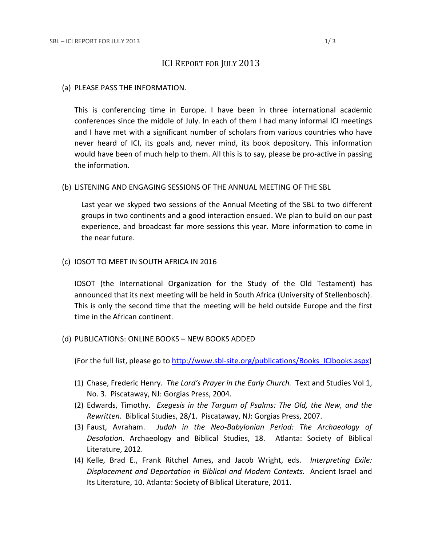# ICI REPORT FOR JULY 2013

### (a) PLEASE PASS THE INFORMATION.

This is conferencing time in Europe. I have been in three international academic conferences since the middle of July. In each of them I had many informal ICI meetings and I have met with a significant number of scholars from various countries who have never heard of ICI, its goals and, never mind, its book depository. This information would have been of much help to them. All this is to say, please be pro-active in passing the information.

## (b) LISTENING AND ENGAGING SESSIONS OF THE ANNUAL MEETING OF THE SBL

Last year we skyped two sessions of the Annual Meeting of the SBL to two different groups in two continents and a good interaction ensued. We plan to build on our past experience, and broadcast far more sessions this year. More information to come in the near future.

#### (c) IOSOT TO MEET IN SOUTH AFRICA IN 2016

IOSOT (the International Organization for the Study of the Old Testament) has announced that its next meeting will be held in South Africa (University of Stellenbosch). This is only the second time that the meeting will be held outside Europe and the first time in the African continent.

# (d) PUBLICATIONS: ONLINE BOOKS – NEW BOOKS ADDED

(For the full list, please go to [http://www.sbl-site.org/publications/Books\\_ICIbooks.aspx\)](http://www.sbl-site.org/publications/Books_ICIbooks.aspx)

- (1) Chase, Frederic Henry. *The Lord's Prayer in the Early Church.* Text and Studies Vol 1, No. 3. Piscataway, NJ: Gorgias Press, 2004.
- (2) Edwards, Timothy. *Exegesis in the Targum of Psalms: The Old, the New, and the Rewritten.* Biblical Studies, 28/1. Piscataway, NJ: Gorgias Press, 2007.
- (3) Faust, Avraham. *Judah in the Neo-Babylonian Period: The Archaeology of Desolation.* Archaeology and Biblical Studies, 18. Atlanta: Society of Biblical Literature, 2012.
- (4) Kelle, Brad E., Frank Ritchel Ames, and Jacob Wright, eds. *Interpreting Exile: Displacement and Deportation in Biblical and Modern Contexts.* Ancient Israel and Its Literature, 10. Atlanta: Society of Biblical Literature, 2011.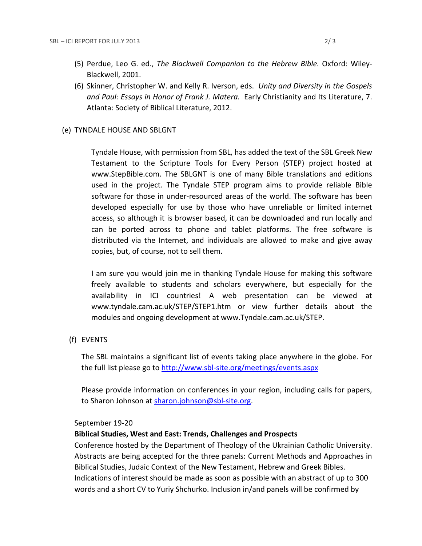- (5) Perdue, Leo G. ed., *The Blackwell Companion to the Hebrew Bible.* Oxford: Wiley-Blackwell, 2001.
- (6) Skinner, Christopher W. and Kelly R. Iverson, eds. *Unity and Diversity in the Gospels and Paul: Essays in Honor of Frank J. Matera.* Early Christianity and Its Literature, 7. Atlanta: Society of Biblical Literature, 2012.

# (e) TYNDALE HOUSE AND SBLGNT

Tyndale House, with permission from SBL, has added the text of the SBL Greek New Testament to the Scripture Tools for Every Person (STEP) project hosted at www.StepBible.com. The SBLGNT is one of many Bible translations and editions used in the project. The Tyndale STEP program aims to provide reliable Bible software for those in under-resourced areas of the world. The software has been developed especially for use by those who have unreliable or limited internet access, so although it is browser based, it can be downloaded and run locally and can be ported across to phone and tablet platforms. The free software is distributed via the Internet, and individuals are allowed to make and give away copies, but, of course, not to sell them.

I am sure you would join me in thanking Tyndale House for making this software freely available to students and scholars everywhere, but especially for the availability in ICI countries! A web presentation can be viewed at www.tyndale.cam.ac.uk/STEP/STEP1.htm or view further details about the modules and ongoing development at www.Tyndale.cam.ac.uk/STEP.

(f) EVENTS

The SBL maintains a significant list of events taking place anywhere in the globe. For the full list please go to<http://www.sbl-site.org/meetings/events.aspx>

Please provide information on conferences in your region, including calls for papers, to Sharon Johnson at [sharon.johnson@sbl-site.org.](mailto:sharon.johnson@sbl-site.org)

# September 19-20

# **Biblical Studies, West and East: Trends, Challenges and Prospects**

Conference hosted by the Department of Theology of the Ukrainian Catholic University. Abstracts are being accepted for the three panels: Current Methods and Approaches in Biblical Studies, Judaic Context of the New Testament, Hebrew and Greek Bibles. Indications of interest should be made as soon as possible with an abstract of up to 300 words and a short CV to Yuriy Shchurko. Inclusion in/and panels will be confirmed by